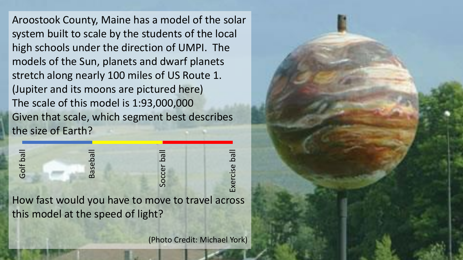Aroostook County, Maine has a model of the solar system built to scale by the students of the local high schools under the direction of UMPI. The models of the Sun, planets and dwarf planets stretch along nearly 100 miles of US Route 1. (Jupiter and its moons are pictured here) The scale of this model is 1:93,000,000 Given that scale, which segment best describes the size of Earth?

| $\sigma$<br>$\Omega$<br>$\overline{\mathbf{r}}$<br>$\circ$<br>(7) | $\sigma$<br>$\Omega$<br>$\Omega$<br>ᠬᠦ | Б<br>$\cup$<br>$\overline{C}$<br>∩ | $\sigma$<br>ၯ |
|-------------------------------------------------------------------|----------------------------------------|------------------------------------|---------------|
|                                                                   |                                        |                                    |               |

How fast would you have to move to travel across this model at the speed of light?

(Photo Credit: Michael York)